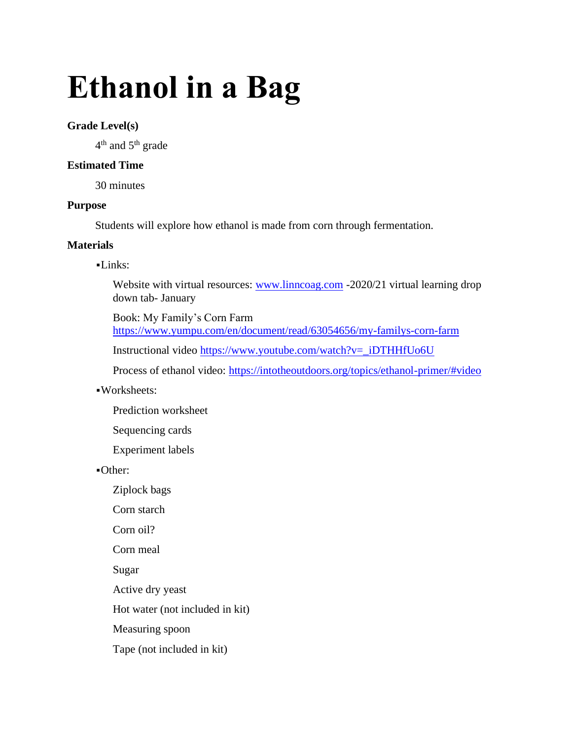# **Ethanol in a Bag**

## **Grade Level(s)**

 $4^{\text{th}}$  and  $5^{\text{th}}$  grade

## **Estimated Time**

30 minutes

## **Purpose**

Students will explore how ethanol is made from corn through fermentation.

## **Materials**

## ▪Links:

Website with virtual resources: [www.linncoag.com](http://www.linncoag.com/) -2020/21 virtual learning drop down tab- January

Book: My Family's Corn Farm <https://www.yumpu.com/en/document/read/63054656/my-familys-corn-farm>

Instructional video [https://www.youtube.com/watch?v=\\_iDTHHfUo6U](https://www.youtube.com/watch?v=_iDTHHfUo6U)

Process of ethanol video:<https://intotheoutdoors.org/topics/ethanol-primer/#video>

- ▪Worksheets:
	- Prediction worksheet

Sequencing cards

Experiment labels

▪Other:

Ziplock bags

Corn starch

Corn oil?

Corn meal

Sugar

Active dry yeast

Hot water (not included in kit)

Measuring spoon

Tape (not included in kit)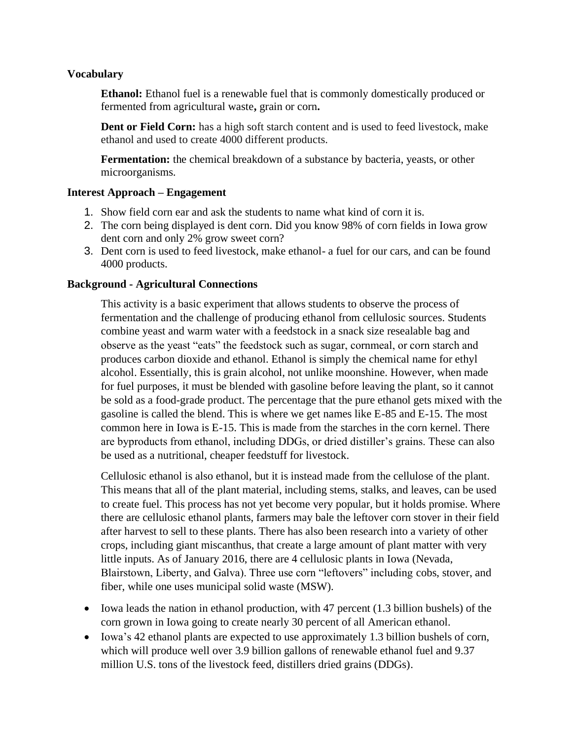## **Vocabulary**

**Ethanol:** Ethanol fuel is a renewable fuel that is commonly domestically produced or fermented from agricultural waste**,** grain or corn**.**

**Dent or Field Corn:** has a high soft starch content and is used to feed livestock, make ethanol and used to create 4000 different products.

**Fermentation:** the chemical breakdown of a substance by bacteria, yeasts, or other microorganisms.

## **Interest Approach – Engagement**

- 1. Show field corn ear and ask the students to name what kind of corn it is.
- 2. The corn being displayed is dent corn. Did you know 98% of corn fields in Iowa grow dent corn and only 2% grow sweet corn?
- 3. Dent corn is used to feed livestock, make ethanol- a fuel for our cars, and can be found 4000 products.

## **Background - Agricultural Connections**

This activity is a basic experiment that allows students to observe the process of fermentation and the challenge of producing ethanol from cellulosic sources. Students combine yeast and warm water with a feedstock in a snack size resealable bag and observe as the yeast "eats" the feedstock such as sugar, cornmeal, or corn starch and produces carbon dioxide and ethanol. Ethanol is simply the chemical name for ethyl alcohol. Essentially, this is grain alcohol, not unlike moonshine. However, when made for fuel purposes, it must be blended with gasoline before leaving the plant, so it cannot be sold as a food-grade product. The percentage that the pure ethanol gets mixed with the gasoline is called the blend. This is where we get names like E-85 and E-15. The most common here in Iowa is E-15. This is made from the starches in the corn kernel. There are byproducts from ethanol, including DDGs, or dried distiller's grains. These can also be used as a nutritional, cheaper feedstuff for livestock.

Cellulosic ethanol is also ethanol, but it is instead made from the cellulose of the plant. This means that all of the plant material, including stems, stalks, and leaves, can be used to create fuel. This process has not yet become very popular, but it holds promise. Where there are cellulosic ethanol plants, farmers may bale the leftover corn stover in their field after harvest to sell to these plants. There has also been research into a variety of other crops, including giant miscanthus, that create a large amount of plant matter with very little inputs. As of January 2016, there are 4 cellulosic plants in Iowa (Nevada, Blairstown, Liberty, and Galva). Three use corn "leftovers" including cobs, stover, and fiber, while one uses municipal solid waste (MSW).

- Iowa leads the nation in ethanol production, with 47 percent (1.3 billion bushels) of the corn grown in Iowa going to create nearly 30 percent of all American ethanol.
- Iowa's 42 ethanol plants are expected to use approximately 1.3 billion bushels of corn, which will produce well over 3.9 billion gallons of renewable ethanol fuel and 9.37 million U.S. tons of the livestock feed, distillers dried grains (DDGs).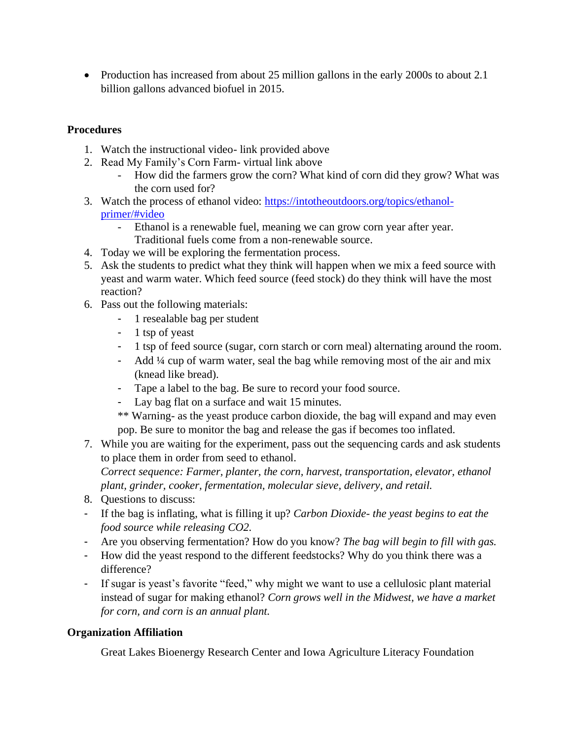• Production has increased from about 25 million gallons in the early 2000s to about 2.1 billion gallons advanced biofuel in 2015.

# **Procedures**

- 1. Watch the instructional video- link provided above
- 2. Read My Family's Corn Farm- virtual link above
	- How did the farmers grow the corn? What kind of corn did they grow? What was the corn used for?
- 3. Watch the process of ethanol video: [https://intotheoutdoors.org/topics/ethanol](https://intotheoutdoors.org/topics/ethanol-primer/#video)[primer/#video](https://intotheoutdoors.org/topics/ethanol-primer/#video)
	- Ethanol is a renewable fuel, meaning we can grow corn year after year. Traditional fuels come from a non-renewable source.
- 4. Today we will be exploring the fermentation process.
- 5. Ask the students to predict what they think will happen when we mix a feed source with yeast and warm water. Which feed source (feed stock) do they think will have the most reaction?
- 6. Pass out the following materials:
	- 1 resealable bag per student
	- 1 tsp of yeast
	- 1 tsp of feed source (sugar, corn starch or corn meal) alternating around the room.
	- Add ¼ cup of warm water, seal the bag while removing most of the air and mix (knead like bread).
	- Tape a label to the bag. Be sure to record your food source.
	- Lay bag flat on a surface and wait 15 minutes.
	- \*\* Warning- as the yeast produce carbon dioxide, the bag will expand and may even pop. Be sure to monitor the bag and release the gas if becomes too inflated.
- 7. While you are waiting for the experiment, pass out the sequencing cards and ask students to place them in order from seed to ethanol.

*Correct sequence: Farmer, planter, the corn, harvest, transportation, elevator, ethanol plant, grinder, cooker, fermentation, molecular sieve, delivery, and retail.* 

- 8. Questions to discuss:
- If the bag is inflating, what is filling it up? *Carbon Dioxide- the yeast begins to eat the food source while releasing CO2.*
- Are you observing fermentation? How do you know? *The bag will begin to fill with gas.*
- How did the yeast respond to the different feedstocks? Why do you think there was a difference?
- If sugar is yeast's favorite "feed," why might we want to use a cellulosic plant material instead of sugar for making ethanol? *Corn grows well in the Midwest, we have a market for corn, and corn is an annual plant.*

## **Organization Affiliation**

Great Lakes Bioenergy Research Center and Iowa Agriculture Literacy Foundation